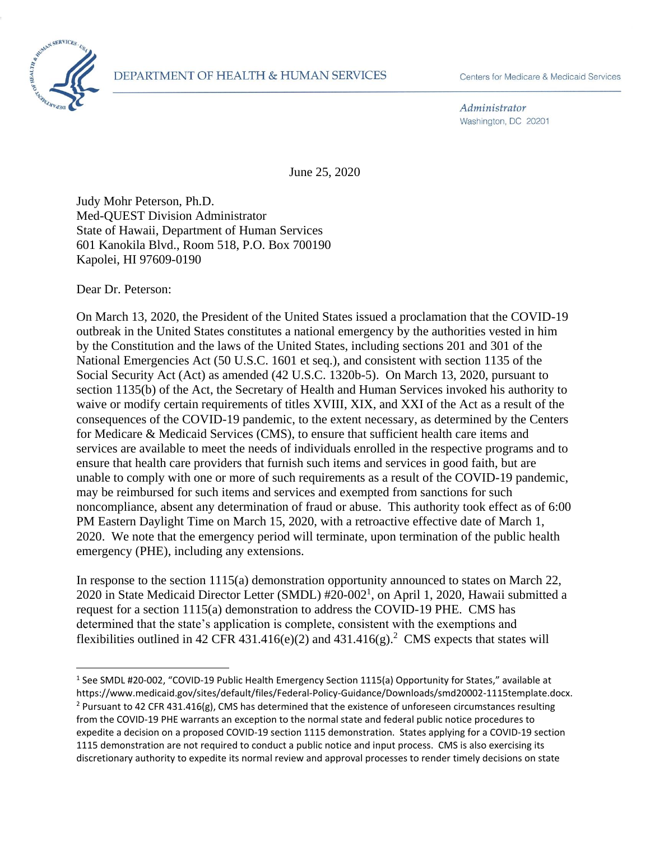Administrator Washington, DC 20201

June 25, 2020

Judy Mohr Peterson, Ph.D. Med-QUEST Division Administrator State of Hawaii, Department of Human Services 601 Kanokila Blvd., Room 518, P.O. Box 700190 Kapolei, HI 97609-0190

Dear Dr. Peterson:

On March 13, 2020, the President of the United States issued a proclamation that the COVID-19 outbreak in the United States constitutes a national emergency by the authorities vested in him by the Constitution and the laws of the United States, including sections 201 and 301 of the National Emergencies Act (50 U.S.C. 1601 et seq.), and consistent with section 1135 of the Social Security Act (Act) as amended (42 U.S.C. 1320b-5). On March 13, 2020, pursuant to section 1135(b) of the Act, the Secretary of Health and Human Services invoked his authority to waive or modify certain requirements of titles XVIII, XIX, and XXI of the Act as a result of the consequences of the COVID-19 pandemic, to the extent necessary, as determined by the Centers for Medicare & Medicaid Services (CMS), to ensure that sufficient health care items and services are available to meet the needs of individuals enrolled in the respective programs and to ensure that health care providers that furnish such items and services in good faith, but are unable to comply with one or more of such requirements as a result of the COVID-19 pandemic, may be reimbursed for such items and services and exempted from sanctions for such noncompliance, absent any determination of fraud or abuse. This authority took effect as of 6:00 PM Eastern Daylight Time on March 15, 2020, with a retroactive effective date of March 1, 2020. We note that the emergency period will terminate, upon termination of the public health emergency (PHE), including any extensions.

In response to the section 1115(a) demonstration opportunity announced to states on March 22, 2020 in State Medicaid Director Letter (SMDL) #20-002<sup>1</sup>, on April 1, 2020, Hawaii submitted a request for a section 1115(a) demonstration to address the COVID-19 PHE. CMS has determined that the state's application is complete, consistent with the exemptions and flexibilities outlined in 42 CFR 431.416(e)(2) and 431.416(g).<sup>2</sup> CMS expects that states will

<sup>&</sup>lt;sup>1</sup> See SMDL #20-002, "COVID-19 Public Health Emergency Section 1115(a) Opportunity for States," available at https://www.medicaid.gov/sites/default/files/Federal-Policy-Guidance/Downloads/smd20002-1115template.docx. <sup>2</sup> Pursuant to 42 CFR 431.416(g), CMS has determined that the existence of unforeseen circumstances resulting from the COVID-19 PHE warrants an exception to the normal state and federal public notice procedures to expedite a decision on a proposed COVID-19 section 1115 demonstration. States applying for a COVID-19 section 1115 demonstration are not required to conduct a public notice and input process. CMS is also exercising its discretionary authority to expedite its normal review and approval processes to render timely decisions on state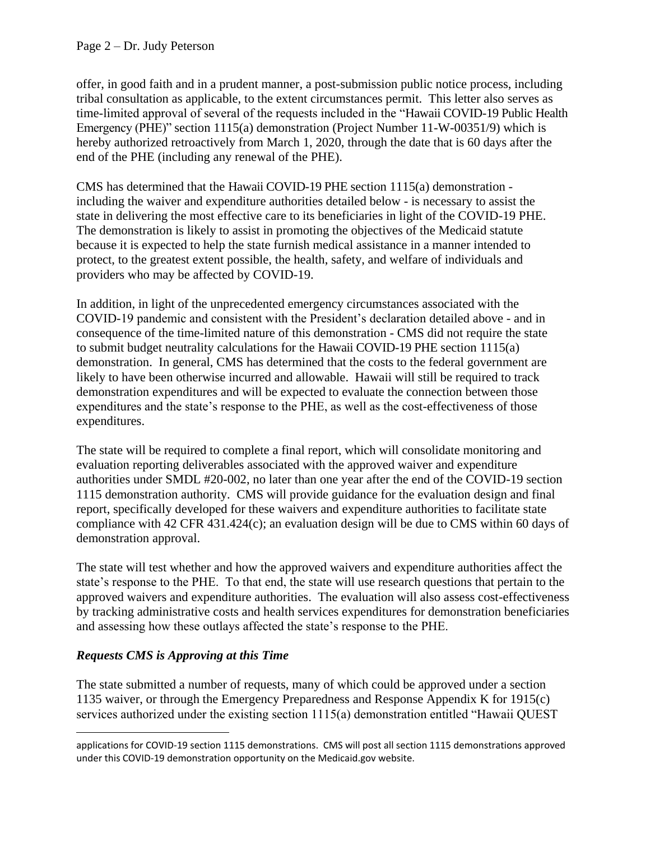offer, in good faith and in a prudent manner, a post-submission public notice process, including tribal consultation as applicable, to the extent circumstances permit. This letter also serves as time-limited approval of several of the requests included in the "Hawaii COVID-19 Public Health Emergency (PHE)" section 1115(a) demonstration (Project Number 11-W-00351/9) which is hereby authorized retroactively from March 1, 2020, through the date that is 60 days after the end of the PHE (including any renewal of the PHE).

CMS has determined that the Hawaii COVID-19 PHE section 1115(a) demonstration including the waiver and expenditure authorities detailed below - is necessary to assist the state in delivering the most effective care to its beneficiaries in light of the COVID-19 PHE. The demonstration is likely to assist in promoting the objectives of the Medicaid statute because it is expected to help the state furnish medical assistance in a manner intended to protect, to the greatest extent possible, the health, safety, and welfare of individuals and providers who may be affected by COVID-19.

In addition, in light of the unprecedented emergency circumstances associated with the COVID-19 pandemic and consistent with the President's declaration detailed above - and in consequence of the time-limited nature of this demonstration - CMS did not require the state to submit budget neutrality calculations for the Hawaii COVID-19 PHE section 1115(a) demonstration. In general, CMS has determined that the costs to the federal government are likely to have been otherwise incurred and allowable. Hawaii will still be required to track demonstration expenditures and will be expected to evaluate the connection between those expenditures and the state's response to the PHE, as well as the cost-effectiveness of those expenditures.

The state will be required to complete a final report, which will consolidate monitoring and evaluation reporting deliverables associated with the approved waiver and expenditure authorities under SMDL #20-002, no later than one year after the end of the COVID-19 section 1115 demonstration authority. CMS will provide guidance for the evaluation design and final report, specifically developed for these waivers and expenditure authorities to facilitate state compliance with 42 CFR 431.424(c); an evaluation design will be due to CMS within 60 days of demonstration approval.

The state will test whether and how the approved waivers and expenditure authorities affect the state's response to the PHE. To that end, the state will use research questions that pertain to the approved waivers and expenditure authorities. The evaluation will also assess cost-effectiveness by tracking administrative costs and health services expenditures for demonstration beneficiaries and assessing how these outlays affected the state's response to the PHE.

# *Requests CMS is Approving at this Time*

The state submitted a number of requests, many of which could be approved under a section 1135 waiver, or through the Emergency Preparedness and Response Appendix K for 1915(c) services authorized under the existing section 1115(a) demonstration entitled "Hawaii QUEST

applications for COVID-19 section 1115 demonstrations. CMS will post all section 1115 demonstrations approved under this COVID-19 demonstration opportunity on the Medicaid.gov website.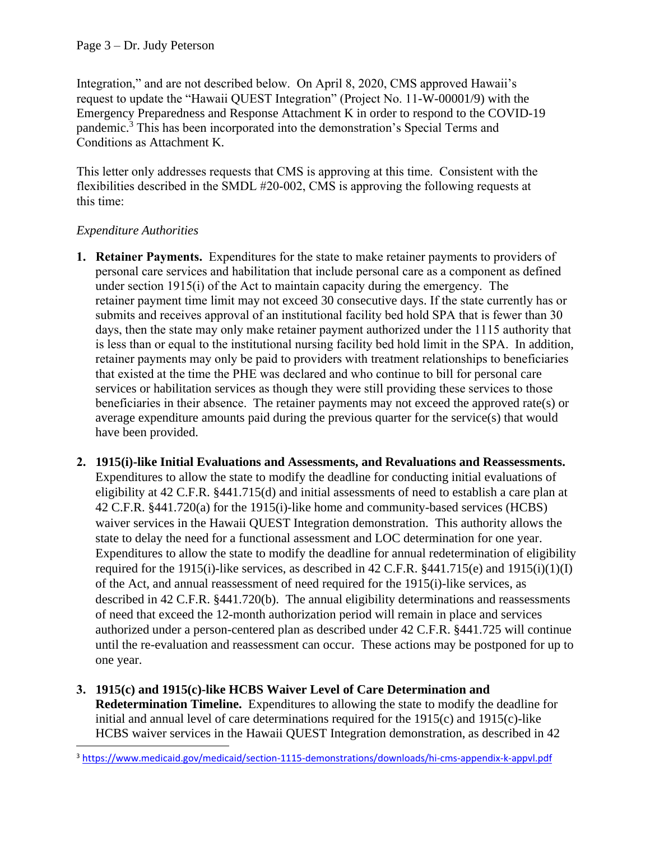Integration," and are not described below. On April 8, 2020, CMS approved Hawaii's request to update the "Hawaii QUEST Integration" (Project No. 11-W-00001/9) with the Emergency Preparedness and Response Attachment K in order to respond to the COVID-19 pandemic.<sup>3</sup> This has been incorporated into the demonstration's Special Terms and Conditions as Attachment K.

This letter only addresses requests that CMS is approving at this time. Consistent with the flexibilities described in the SMDL #20-002, CMS is approving the following requests at this time:

# *Expenditure Authorities*

- **1. Retainer Payments.** Expenditures for the state to make retainer payments to providers of personal care services and habilitation that include personal care as a component as defined under section 1915(i) of the Act to maintain capacity during the emergency. The retainer payment time limit may not exceed 30 consecutive days. If the state currently has or submits and receives approval of an institutional facility bed hold SPA that is fewer than 30 days, then the state may only make retainer payment authorized under the 1115 authority that is less than or equal to the institutional nursing facility bed hold limit in the SPA. In addition, retainer payments may only be paid to providers with treatment relationships to beneficiaries that existed at the time the PHE was declared and who continue to bill for personal care services or habilitation services as though they were still providing these services to those beneficiaries in their absence. The retainer payments may not exceed the approved rate(s) or average expenditure amounts paid during the previous quarter for the service(s) that would have been provided.
- **2. 1915(i)-like Initial Evaluations and Assessments, and Revaluations and Reassessments.** Expenditures to allow the state to modify the deadline for conducting initial evaluations of eligibility at 42 C.F.R. §441.715(d) and initial assessments of need to establish a care plan at 42 C.F.R. §441.720(a) for the 1915(i)-like home and community-based services (HCBS) waiver services in the Hawaii QUEST Integration demonstration. This authority allows the state to delay the need for a functional assessment and LOC determination for one year. Expenditures to allow the state to modify the deadline for annual redetermination of eligibility required for the 1915(i)-like services, as described in 42 C.F.R.  $§$ 441.715(e) and 1915(i)(1)(I) of the Act, and annual reassessment of need required for the 1915(i)-like services, as described in 42 C.F.R. §441.720(b). The annual eligibility determinations and reassessments of need that exceed the 12-month authorization period will remain in place and services authorized under a person-centered plan as described under 42 C.F.R. §441.725 will continue until the re-evaluation and reassessment can occur. These actions may be postponed for up to one year.
- **3. 1915(c) and 1915(c)-like HCBS Waiver Level of Care Determination and Redetermination Timeline.** Expenditures to allowing the state to modify the deadline for initial and annual level of care determinations required for the 1915(c) and 1915(c)-like HCBS waiver services in the Hawaii QUEST Integration demonstration, as described in 42

<sup>3</sup> <https://www.medicaid.gov/medicaid/section-1115-demonstrations/downloads/hi-cms-appendix-k-appvl.pdf>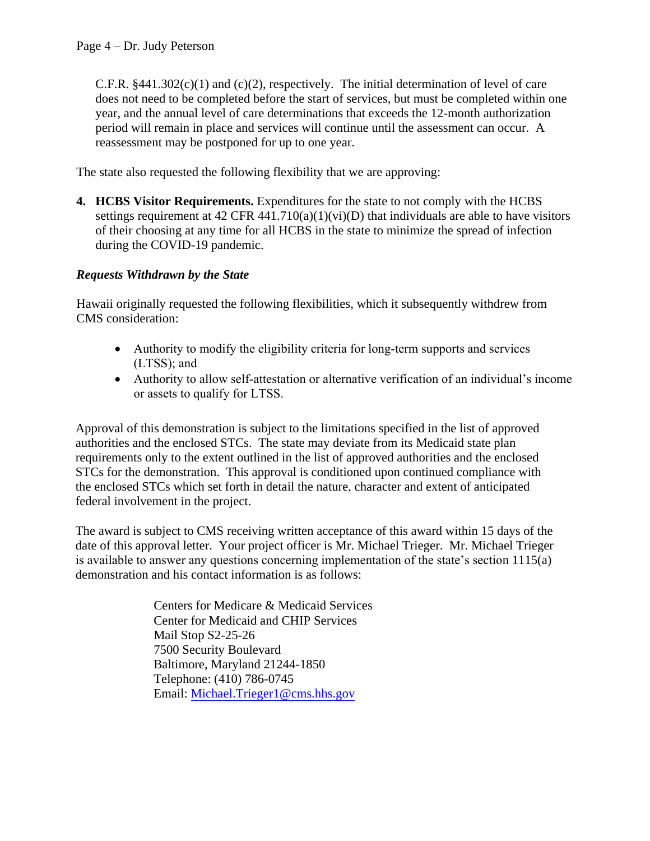C.F.R.  $§441.302(c)(1)$  and (c)(2), respectively. The initial determination of level of care does not need to be completed before the start of services, but must be completed within one year, and the annual level of care determinations that exceeds the 12-month authorization period will remain in place and services will continue until the assessment can occur. A reassessment may be postponed for up to one year.

The state also requested the following flexibility that we are approving:

**4. HCBS Visitor Requirements.** Expenditures for the state to not comply with the HCBS settings requirement at  $42 \text{ CFR } 441.710(a)(1)(vi)(D)$  that individuals are able to have visitors of their choosing at any time for all HCBS in the state to minimize the spread of infection during the COVID-19 pandemic.

# *Requests Withdrawn by the State*

Hawaii originally requested the following flexibilities, which it subsequently withdrew from CMS consideration:

- Authority to modify the eligibility criteria for long-term supports and services (LTSS); and
- Authority to allow self-attestation or alternative verification of an individual's income or assets to qualify for LTSS.

Approval of this demonstration is subject to the limitations specified in the list of approved authorities and the enclosed STCs. The state may deviate from its Medicaid state plan requirements only to the extent outlined in the list of approved authorities and the enclosed STCs for the demonstration. This approval is conditioned upon continued compliance with the enclosed STCs which set forth in detail the nature, character and extent of anticipated federal involvement in the project.

The award is subject to CMS receiving written acceptance of this award within 15 days of the date of this approval letter. Your project officer is Mr. Michael Trieger. Mr. Michael Trieger is available to answer any questions concerning implementation of the state's section 1115(a) demonstration and his contact information is as follows:

> Centers for Medicare & Medicaid Services Center for Medicaid and CHIP Services Mail Stop S2-25-26 7500 Security Boulevard Baltimore, Maryland 21244-1850 Telephone: (410) 786-0745 Email: [Michael.Trieger1@cms.hhs.gov](mailto:Michael.Trieger1@cms.hhs.gov)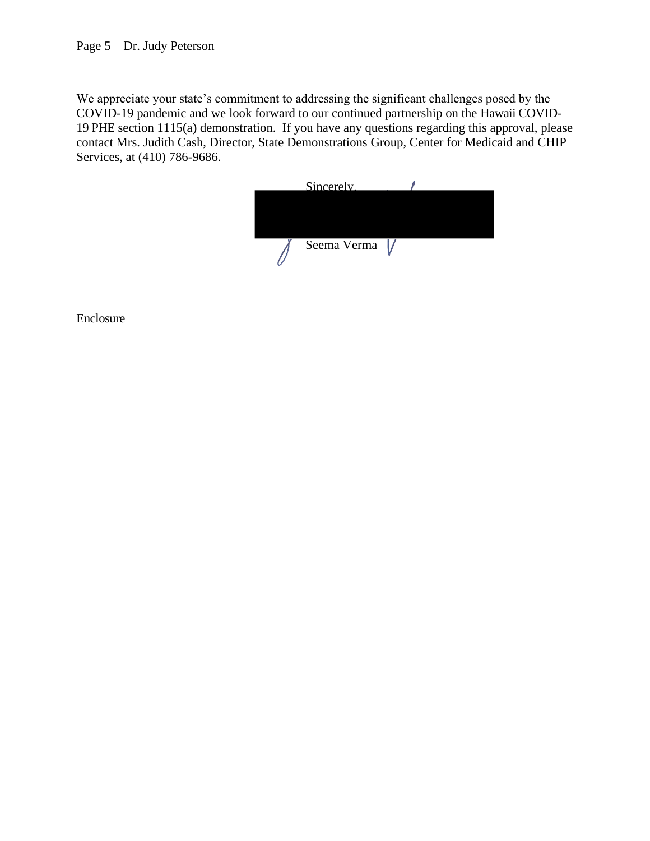We appreciate your state's commitment to addressing the significant challenges posed by the COVID-19 pandemic and we look forward to our continued partnership on the Hawaii COVID-19 PHE section 1115(a) demonstration. If you have any questions regarding this approval, please contact Mrs. Judith Cash, Director, State Demonstrations Group, Center for Medicaid and CHIP Services, at (410) 786-9686.



Enclosure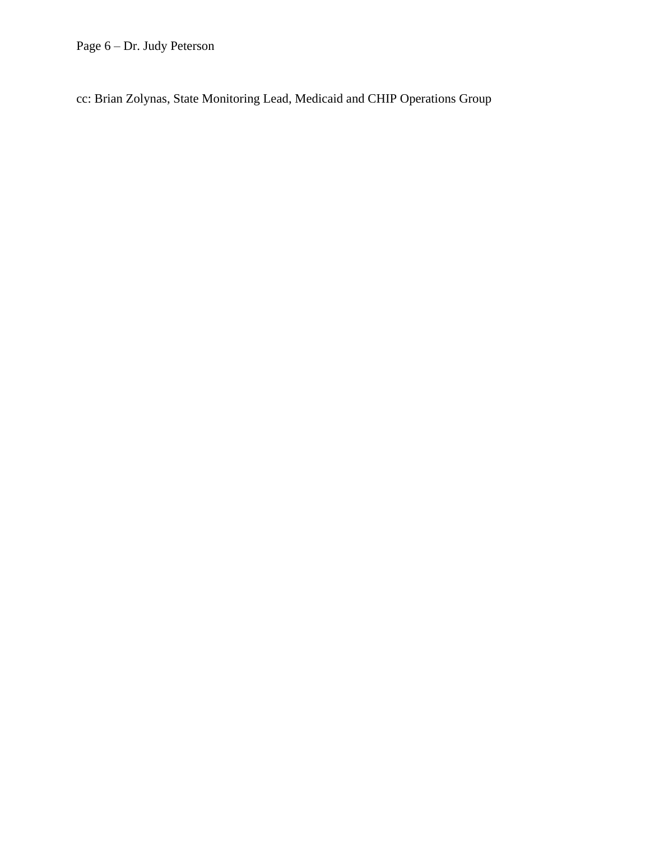Page 6 – Dr. Judy Peterson

cc: Brian Zolynas, State Monitoring Lead, Medicaid and CHIP Operations Group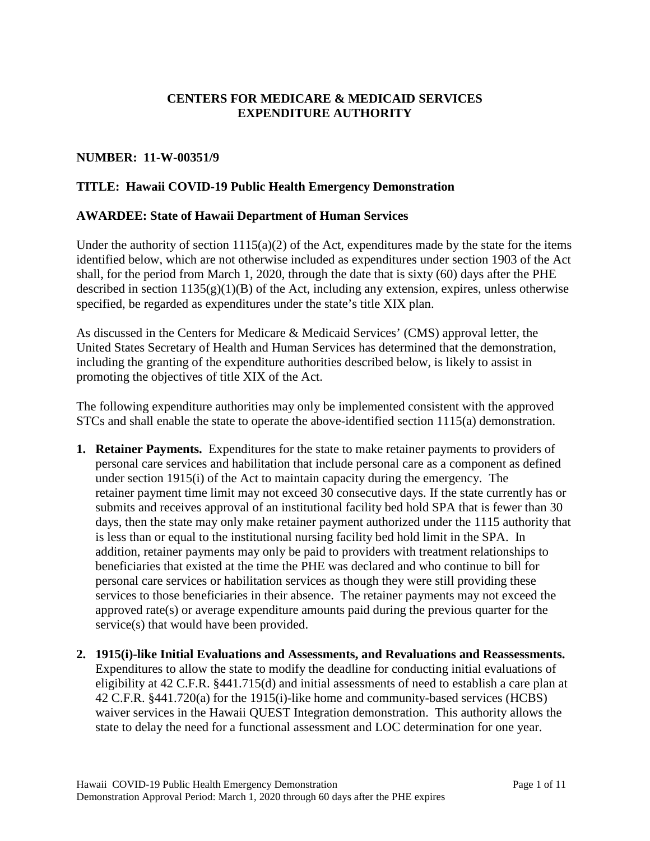# **CENTERS FOR MEDICARE & MEDICAID SERVICES EXPENDITURE AUTHORITY**

### **NUMBER: 11-W-00351/9**

### **TITLE: Hawaii COVID-19 Public Health Emergency Demonstration**

#### **AWARDEE: State of Hawaii Department of Human Services**

Under the authority of section  $1115(a)(2)$  of the Act, expenditures made by the state for the items identified below, which are not otherwise included as expenditures under section 1903 of the Act shall, for the period from March 1, 2020, through the date that is sixty (60) days after the PHE described in section  $1135(g)(1)(B)$  of the Act, including any extension, expires, unless otherwise specified, be regarded as expenditures under the state's title XIX plan.

As discussed in the Centers for Medicare & Medicaid Services' (CMS) approval letter, the United States Secretary of Health and Human Services has determined that the demonstration, including the granting of the expenditure authorities described below, is likely to assist in promoting the objectives of title XIX of the Act.

The following expenditure authorities may only be implemented consistent with the approved STCs and shall enable the state to operate the above-identified section 1115(a) demonstration.

- **1. Retainer Payments.** Expenditures for the state to make retainer payments to providers of personal care services and habilitation that include personal care as a component as defined under section 1915(i) of the Act to maintain capacity during the emergency. The retainer payment time limit may not exceed 30 consecutive days. If the state currently has or submits and receives approval of an institutional facility bed hold SPA that is fewer than 30 days, then the state may only make retainer payment authorized under the 1115 authority that is less than or equal to the institutional nursing facility bed hold limit in the SPA. In addition, retainer payments may only be paid to providers with treatment relationships to beneficiaries that existed at the time the PHE was declared and who continue to bill for personal care services or habilitation services as though they were still providing these services to those beneficiaries in their absence. The retainer payments may not exceed the approved rate(s) or average expenditure amounts paid during the previous quarter for the service(s) that would have been provided.
- **2. 1915(i)-like Initial Evaluations and Assessments, and Revaluations and Reassessments.** Expenditures to allow the state to modify the deadline for conducting initial evaluations of eligibility at 42 C.F.R. §441.715(d) and initial assessments of need to establish a care plan at 42 C.F.R. §441.720(a) for the 1915(i)-like home and community-based services (HCBS) waiver services in the Hawaii QUEST Integration demonstration. This authority allows the state to delay the need for a functional assessment and LOC determination for one year.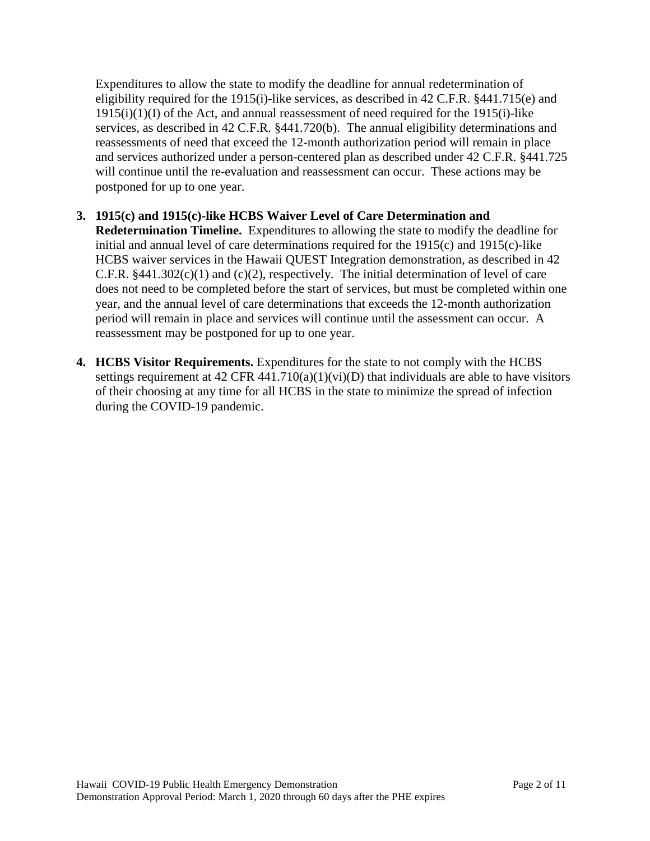Expenditures to allow the state to modify the deadline for annual redetermination of eligibility required for the 1915(i)-like services, as described in 42 C.F.R. §441.715(e) and  $1915(i)(1)(I)$  of the Act, and annual reassessment of need required for the 1915 $(i)$ -like services, as described in 42 C.F.R. §441.720(b). The annual eligibility determinations and reassessments of need that exceed the 12-month authorization period will remain in place and services authorized under a person-centered plan as described under 42 C.F.R. §441.725 will continue until the re-evaluation and reassessment can occur. These actions may be postponed for up to one year.

# **3. 1915(c) and 1915(c)-like HCBS Waiver Level of Care Determination and**

**Redetermination Timeline.** Expenditures to allowing the state to modify the deadline for initial and annual level of care determinations required for the 1915(c) and 1915(c)-like HCBS waiver services in the Hawaii QUEST Integration demonstration, as described in 42 C.F.R.  $§441.302(c)(1)$  and (c)(2), respectively. The initial determination of level of care does not need to be completed before the start of services, but must be completed within one year, and the annual level of care determinations that exceeds the 12-month authorization period will remain in place and services will continue until the assessment can occur. A reassessment may be postponed for up to one year.

**4. HCBS Visitor Requirements.** Expenditures for the state to not comply with the HCBS settings requirement at  $42 \text{ CFR } 441.710(a)(1)(vi)(D)$  that individuals are able to have visitors of their choosing at any time for all HCBS in the state to minimize the spread of infection during the COVID-19 pandemic.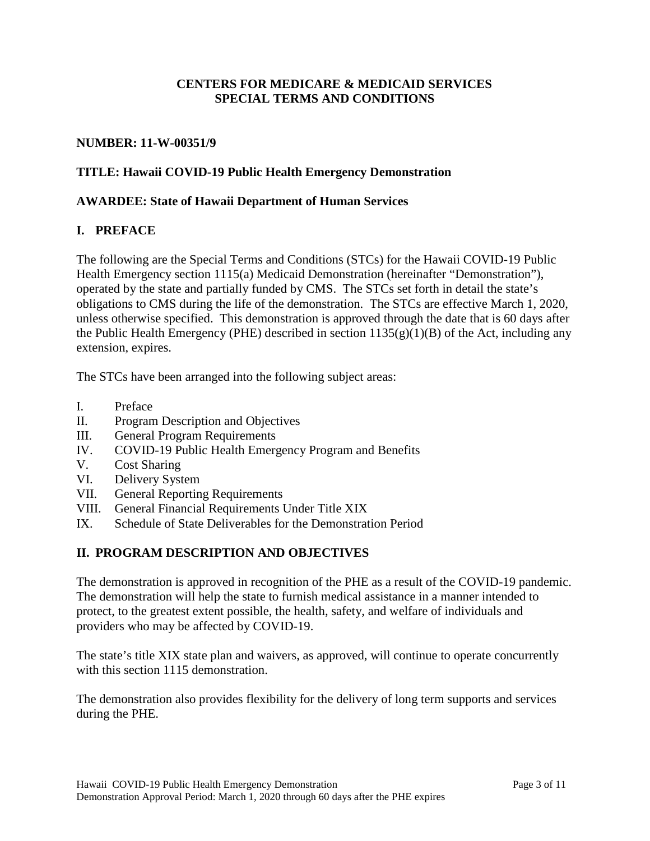### **CENTERS FOR MEDICARE & MEDICAID SERVICES SPECIAL TERMS AND CONDITIONS**

### **NUMBER: 11-W-00351/9**

### **TITLE: Hawaii COVID-19 Public Health Emergency Demonstration**

#### **AWARDEE: State of Hawaii Department of Human Services**

#### **I. PREFACE**

The following are the Special Terms and Conditions (STCs) for the Hawaii COVID-19 Public Health Emergency section 1115(a) Medicaid Demonstration (hereinafter "Demonstration"), operated by the state and partially funded by CMS. The STCs set forth in detail the state's obligations to CMS during the life of the demonstration. The STCs are effective March 1, 2020, unless otherwise specified. This demonstration is approved through the date that is 60 days after the Public Health Emergency (PHE) described in section  $1135(g)(1)(B)$  of the Act, including any extension, expires.

The STCs have been arranged into the following subject areas:

- I. Preface
- II. Program Description and Objectives
- III. General Program Requirements
- IV. COVID-19 Public Health Emergency Program and Benefits
- V. Cost Sharing
- VI. Delivery System
- VII. General Reporting Requirements
- VIII. General Financial Requirements Under Title XIX
- IX. Schedule of State Deliverables for the Demonstration Period

#### **II. PROGRAM DESCRIPTION AND OBJECTIVES**

The demonstration is approved in recognition of the PHE as a result of the COVID-19 pandemic. The demonstration will help the state to furnish medical assistance in a manner intended to protect, to the greatest extent possible, the health, safety, and welfare of individuals and providers who may be affected by COVID-19.

The state's title XIX state plan and waivers, as approved, will continue to operate concurrently with this section 1115 demonstration.

The demonstration also provides flexibility for the delivery of long term supports and services during the PHE.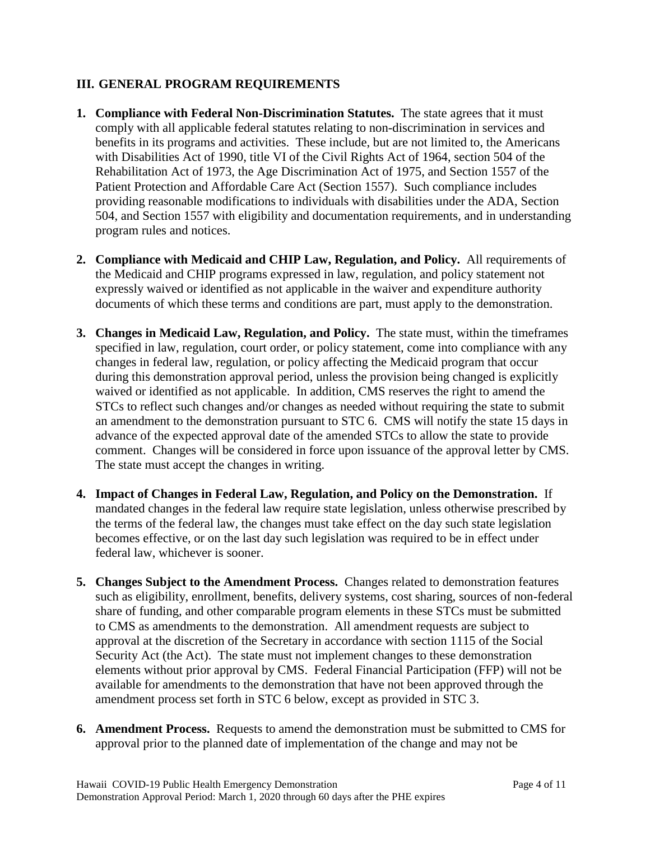# **III. GENERAL PROGRAM REQUIREMENTS**

- **1. Compliance with Federal Non-Discrimination Statutes.** The state agrees that it must comply with all applicable federal statutes relating to non-discrimination in services and benefits in its programs and activities. These include, but are not limited to, the Americans with Disabilities Act of 1990, title VI of the Civil Rights Act of 1964, section 504 of the Rehabilitation Act of 1973, the Age Discrimination Act of 1975, and Section 1557 of the Patient Protection and Affordable Care Act (Section 1557). Such compliance includes providing reasonable modifications to individuals with disabilities under the ADA, Section 504, and Section 1557 with eligibility and documentation requirements, and in understanding program rules and notices.
- **2. Compliance with Medicaid and CHIP Law, Regulation, and Policy.** All requirements of the Medicaid and CHIP programs expressed in law, regulation, and policy statement not expressly waived or identified as not applicable in the waiver and expenditure authority documents of which these terms and conditions are part, must apply to the demonstration.
- **3. Changes in Medicaid Law, Regulation, and Policy.** The state must, within the timeframes specified in law, regulation, court order, or policy statement, come into compliance with any changes in federal law, regulation, or policy affecting the Medicaid program that occur during this demonstration approval period, unless the provision being changed is explicitly waived or identified as not applicable. In addition, CMS reserves the right to amend the STCs to reflect such changes and/or changes as needed without requiring the state to submit an amendment to the demonstration pursuant to STC 6. CMS will notify the state 15 days in advance of the expected approval date of the amended STCs to allow the state to provide comment. Changes will be considered in force upon issuance of the approval letter by CMS. The state must accept the changes in writing.
- **4. Impact of Changes in Federal Law, Regulation, and Policy on the Demonstration.** If mandated changes in the federal law require state legislation, unless otherwise prescribed by the terms of the federal law, the changes must take effect on the day such state legislation becomes effective, or on the last day such legislation was required to be in effect under federal law, whichever is sooner.
- **5. Changes Subject to the Amendment Process.** Changes related to demonstration features such as eligibility, enrollment, benefits, delivery systems, cost sharing, sources of non-federal share of funding, and other comparable program elements in these STCs must be submitted to CMS as amendments to the demonstration. All amendment requests are subject to approval at the discretion of the Secretary in accordance with section 1115 of the Social Security Act (the Act). The state must not implement changes to these demonstration elements without prior approval by CMS. Federal Financial Participation (FFP) will not be available for amendments to the demonstration that have not been approved through the amendment process set forth in STC 6 below, except as provided in STC 3.
- **6. Amendment Process.** Requests to amend the demonstration must be submitted to CMS for approval prior to the planned date of implementation of the change and may not be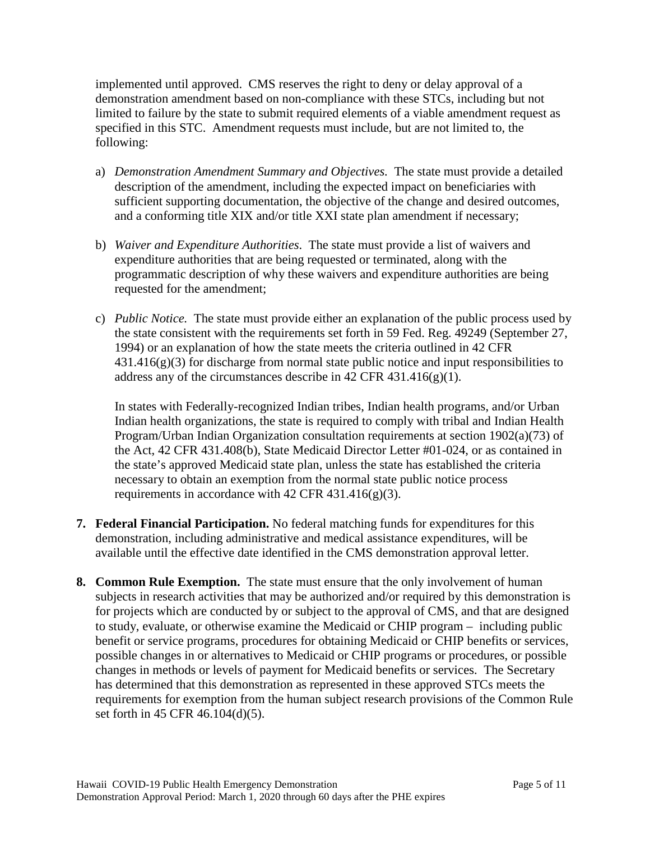implemented until approved. CMS reserves the right to deny or delay approval of a demonstration amendment based on non-compliance with these STCs, including but not limited to failure by the state to submit required elements of a viable amendment request as specified in this STC. Amendment requests must include, but are not limited to, the following:

- a) *Demonstration Amendment Summary and Objectives.* The state must provide a detailed description of the amendment, including the expected impact on beneficiaries with sufficient supporting documentation, the objective of the change and desired outcomes, and a conforming title XIX and/or title XXI state plan amendment if necessary;
- b) *Waiver and Expenditure Authorities*. The state must provide a list of waivers and expenditure authorities that are being requested or terminated, along with the programmatic description of why these waivers and expenditure authorities are being requested for the amendment;
- c) *Public Notice.* The state must provide either an explanation of the public process used by the state consistent with the requirements set forth in 59 Fed. Reg. 49249 (September 27, 1994) or an explanation of how the state meets the criteria outlined in 42 CFR  $431.416(g)(3)$  for discharge from normal state public notice and input responsibilities to address any of the circumstances describe in 42 CFR 431.416(g)(1).

In states with Federally-recognized Indian tribes, Indian health programs, and/or Urban Indian health organizations, the state is required to comply with tribal and Indian Health Program/Urban Indian Organization consultation requirements at section 1902(a)(73) of the Act, 42 CFR 431.408(b), State Medicaid Director Letter #01-024, or as contained in the state's approved Medicaid state plan, unless the state has established the criteria necessary to obtain an exemption from the normal state public notice process requirements in accordance with 42 CFR 431.416(g)(3).

- **7. Federal Financial Participation.** No federal matching funds for expenditures for this demonstration, including administrative and medical assistance expenditures, will be available until the effective date identified in the CMS demonstration approval letter.
- **8. Common Rule Exemption.** The state must ensure that the only involvement of human subjects in research activities that may be authorized and/or required by this demonstration is for projects which are conducted by or subject to the approval of CMS, and that are designed to study, evaluate, or otherwise examine the Medicaid or CHIP program – including public benefit or service programs, procedures for obtaining Medicaid or CHIP benefits or services, possible changes in or alternatives to Medicaid or CHIP programs or procedures, or possible changes in methods or levels of payment for Medicaid benefits or services. The Secretary has determined that this demonstration as represented in these approved STCs meets the requirements for exemption from the human subject research provisions of the Common Rule set forth in 45 CFR 46.104(d)(5).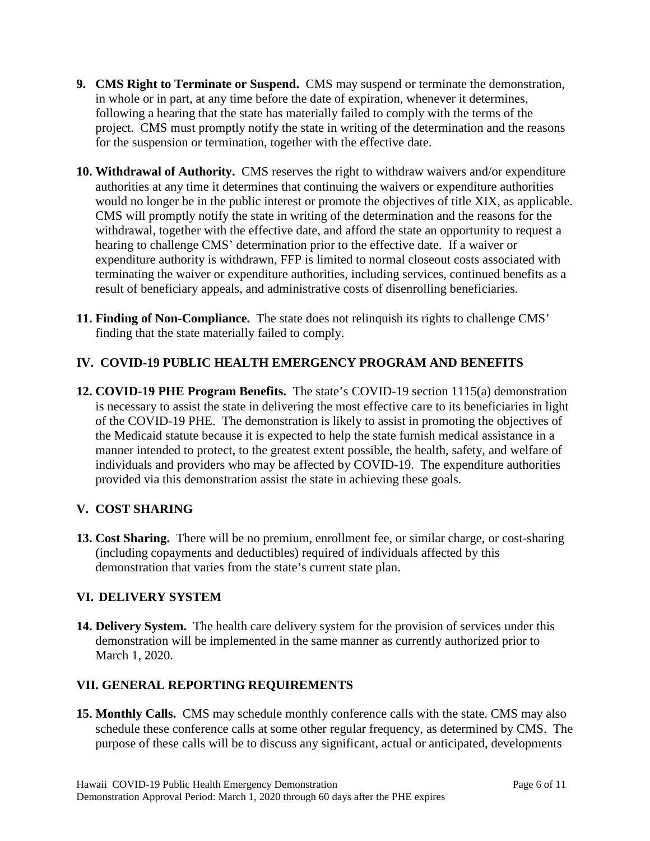- **9. CMS Right to Terminate or Suspend.** CMS may suspend or terminate the demonstration, in whole or in part, at any time before the date of expiration, whenever it determines, following a hearing that the state has materially failed to comply with the terms of the project. CMS must promptly notify the state in writing of the determination and the reasons for the suspension or termination, together with the effective date.
- **10. Withdrawal of Authority.** CMS reserves the right to withdraw waivers and/or expenditure authorities at any time it determines that continuing the waivers or expenditure authorities would no longer be in the public interest or promote the objectives of title XIX, as applicable. CMS will promptly notify the state in writing of the determination and the reasons for the withdrawal, together with the effective date, and afford the state an opportunity to request a hearing to challenge CMS' determination prior to the effective date. If a waiver or expenditure authority is withdrawn, FFP is limited to normal closeout costs associated with terminating the waiver or expenditure authorities, including services, continued benefits as a result of beneficiary appeals, and administrative costs of disenrolling beneficiaries.
- **11. Finding of Non-Compliance.** The state does not relinquish its rights to challenge CMS' finding that the state materially failed to comply.

# **IV. COVID-19 PUBLIC HEALTH EMERGENCY PROGRAM AND BENEFITS**

**12. COVID-19 PHE Program Benefits.** The state's COVID-19 section 1115(a) demonstration is necessary to assist the state in delivering the most effective care to its beneficiaries in light of the COVID-19 PHE. The demonstration is likely to assist in promoting the objectives of the Medicaid statute because it is expected to help the state furnish medical assistance in a manner intended to protect, to the greatest extent possible, the health, safety, and welfare of individuals and providers who may be affected by COVID-19. The expenditure authorities provided via this demonstration assist the state in achieving these goals.

# **V. COST SHARING**

**13. Cost Sharing.** There will be no premium, enrollment fee, or similar charge, or cost-sharing (including copayments and deductibles) required of individuals affected by this demonstration that varies from the state's current state plan.

# **VI. DELIVERY SYSTEM**

**14. Delivery System.** The health care delivery system for the provision of services under this demonstration will be implemented in the same manner as currently authorized prior to March 1, 2020.

# **VII. GENERAL REPORTING REQUIREMENTS**

**15. Monthly Calls.** CMS may schedule monthly conference calls with the state. CMS may also schedule these conference calls at some other regular frequency, as determined by CMS. The purpose of these calls will be to discuss any significant, actual or anticipated, developments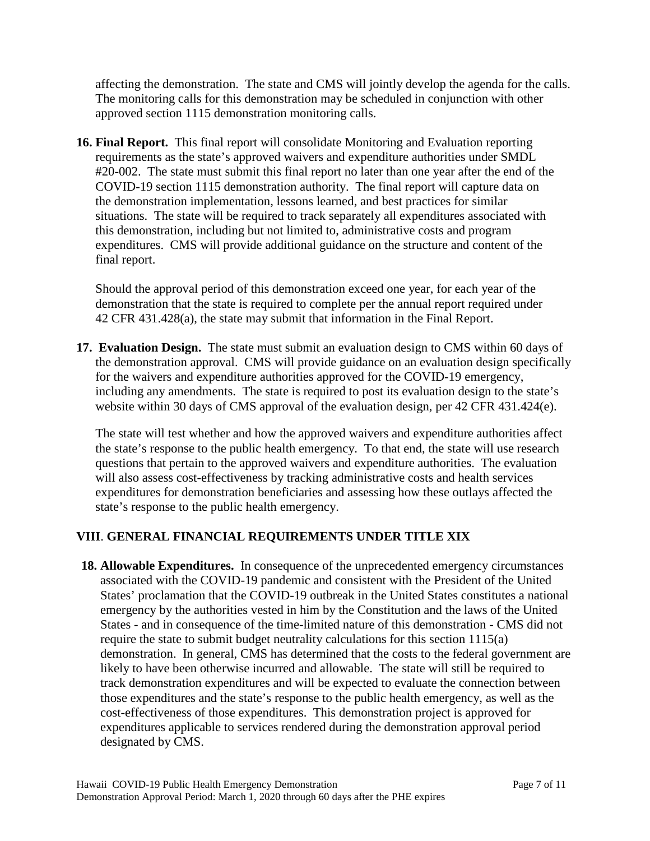affecting the demonstration. The state and CMS will jointly develop the agenda for the calls. The monitoring calls for this demonstration may be scheduled in conjunction with other approved section 1115 demonstration monitoring calls.

**16. Final Report.** This final report will consolidate Monitoring and Evaluation reporting requirements as the state's approved waivers and expenditure authorities under SMDL #20-002.The state must submit this final report no later than one year after the end of the COVID-19 section 1115 demonstration authority. The final report will capture data on the demonstration implementation, lessons learned, and best practices for similar situations. The state will be required to track separately all expenditures associated with this demonstration, including but not limited to, administrative costs and program expenditures. CMS will provide additional guidance on the structure and content of the final report.

Should the approval period of this demonstration exceed one year, for each year of the demonstration that the state is required to complete per the annual report required under 42 CFR 431.428(a), the state may submit that information in the Final Report.

**17. Evaluation Design.** The state must submit an evaluation design to CMS within 60 days of the demonstration approval. CMS will provide guidance on an evaluation design specifically for the waivers and expenditure authorities approved for the COVID-19 emergency, including any amendments. The state is required to post its evaluation design to the state's website within 30 days of CMS approval of the evaluation design, per 42 CFR 431.424(e).

The state will test whether and how the approved waivers and expenditure authorities affect the state's response to the public health emergency. To that end, the state will use research questions that pertain to the approved waivers and expenditure authorities. The evaluation will also assess cost-effectiveness by tracking administrative costs and health services expenditures for demonstration beneficiaries and assessing how these outlays affected the state's response to the public health emergency.

# **VIII**. **GENERAL FINANCIAL REQUIREMENTS UNDER TITLE XIX**

**18. Allowable Expenditures.** In consequence of the unprecedented emergency circumstances associated with the COVID-19 pandemic and consistent with the President of the United States' proclamation that the COVID-19 outbreak in the United States constitutes a national emergency by the authorities vested in him by the Constitution and the laws of the United States - and in consequence of the time-limited nature of this demonstration - CMS did not require the state to submit budget neutrality calculations for this section 1115(a) demonstration. In general, CMS has determined that the costs to the federal government are likely to have been otherwise incurred and allowable. The state will still be required to track demonstration expenditures and will be expected to evaluate the connection between those expenditures and the state's response to the public health emergency, as well as the cost-effectiveness of those expenditures. This demonstration project is approved for expenditures applicable to services rendered during the demonstration approval period designated by CMS.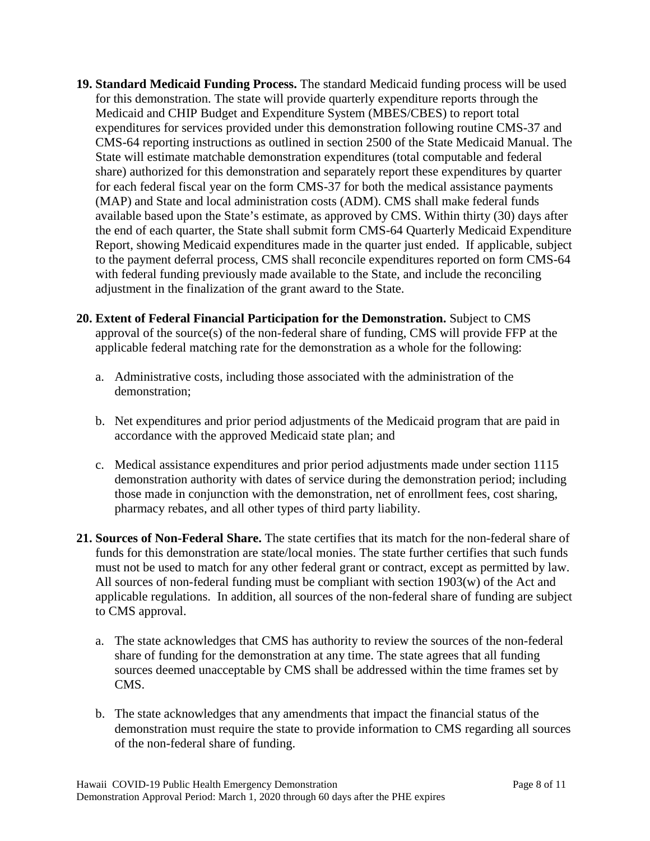- **19. Standard Medicaid Funding Process.** The standard Medicaid funding process will be used for this demonstration. The state will provide quarterly expenditure reports through the Medicaid and CHIP Budget and Expenditure System (MBES/CBES) to report total expenditures for services provided under this demonstration following routine CMS-37 and CMS-64 reporting instructions as outlined in section 2500 of the State Medicaid Manual. The State will estimate matchable demonstration expenditures (total computable and federal share) authorized for this demonstration and separately report these expenditures by quarter for each federal fiscal year on the form CMS-37 for both the medical assistance payments (MAP) and State and local administration costs (ADM). CMS shall make federal funds available based upon the State's estimate, as approved by CMS. Within thirty (30) days after the end of each quarter, the State shall submit form CMS-64 Quarterly Medicaid Expenditure Report, showing Medicaid expenditures made in the quarter just ended. If applicable, subject to the payment deferral process, CMS shall reconcile expenditures reported on form CMS-64 with federal funding previously made available to the State, and include the reconciling adjustment in the finalization of the grant award to the State.
- **20. Extent of Federal Financial Participation for the Demonstration.** Subject to CMS approval of the source(s) of the non-federal share of funding, CMS will provide FFP at the applicable federal matching rate for the demonstration as a whole for the following:
	- a. Administrative costs, including those associated with the administration of the demonstration;
	- b. Net expenditures and prior period adjustments of the Medicaid program that are paid in accordance with the approved Medicaid state plan; and
	- c. Medical assistance expenditures and prior period adjustments made under section 1115 demonstration authority with dates of service during the demonstration period; including those made in conjunction with the demonstration, net of enrollment fees, cost sharing, pharmacy rebates, and all other types of third party liability.
- **21. Sources of Non-Federal Share.** The state certifies that its match for the non-federal share of funds for this demonstration are state/local monies. The state further certifies that such funds must not be used to match for any other federal grant or contract, except as permitted by law. All sources of non-federal funding must be compliant with section 1903(w) of the Act and applicable regulations. In addition, all sources of the non-federal share of funding are subject to CMS approval.
	- a. The state acknowledges that CMS has authority to review the sources of the non-federal share of funding for the demonstration at any time. The state agrees that all funding sources deemed unacceptable by CMS shall be addressed within the time frames set by CMS.
	- b. The state acknowledges that any amendments that impact the financial status of the demonstration must require the state to provide information to CMS regarding all sources of the non-federal share of funding.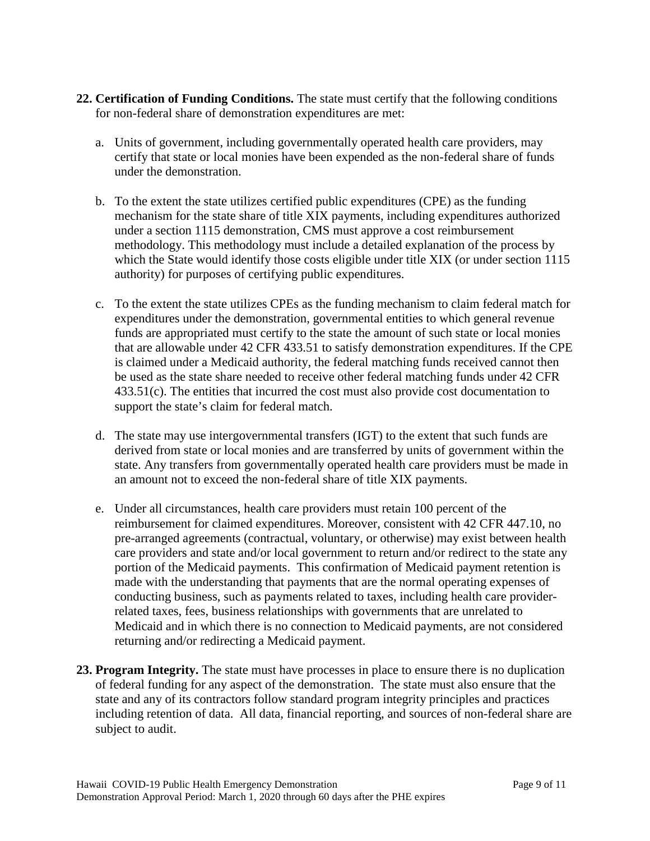- **22. Certification of Funding Conditions.** The state must certify that the following conditions for non-federal share of demonstration expenditures are met:
	- a. Units of government, including governmentally operated health care providers, may certify that state or local monies have been expended as the non-federal share of funds under the demonstration.
	- b. To the extent the state utilizes certified public expenditures (CPE) as the funding mechanism for the state share of title XIX payments, including expenditures authorized under a section 1115 demonstration, CMS must approve a cost reimbursement methodology. This methodology must include a detailed explanation of the process by which the State would identify those costs eligible under title XIX (or under section 1115 authority) for purposes of certifying public expenditures.
	- c. To the extent the state utilizes CPEs as the funding mechanism to claim federal match for expenditures under the demonstration, governmental entities to which general revenue funds are appropriated must certify to the state the amount of such state or local monies that are allowable under 42 CFR 433.51 to satisfy demonstration expenditures. If the CPE is claimed under a Medicaid authority, the federal matching funds received cannot then be used as the state share needed to receive other federal matching funds under 42 CFR 433.51(c). The entities that incurred the cost must also provide cost documentation to support the state's claim for federal match.
	- d. The state may use intergovernmental transfers (IGT) to the extent that such funds are derived from state or local monies and are transferred by units of government within the state. Any transfers from governmentally operated health care providers must be made in an amount not to exceed the non-federal share of title XIX payments.
	- e. Under all circumstances, health care providers must retain 100 percent of the reimbursement for claimed expenditures. Moreover, consistent with 42 CFR 447.10, no pre-arranged agreements (contractual, voluntary, or otherwise) may exist between health care providers and state and/or local government to return and/or redirect to the state any portion of the Medicaid payments. This confirmation of Medicaid payment retention is made with the understanding that payments that are the normal operating expenses of conducting business, such as payments related to taxes, including health care providerrelated taxes, fees, business relationships with governments that are unrelated to Medicaid and in which there is no connection to Medicaid payments, are not considered returning and/or redirecting a Medicaid payment.
- **23. Program Integrity.** The state must have processes in place to ensure there is no duplication of federal funding for any aspect of the demonstration. The state must also ensure that the state and any of its contractors follow standard program integrity principles and practices including retention of data. All data, financial reporting, and sources of non-federal share are subject to audit.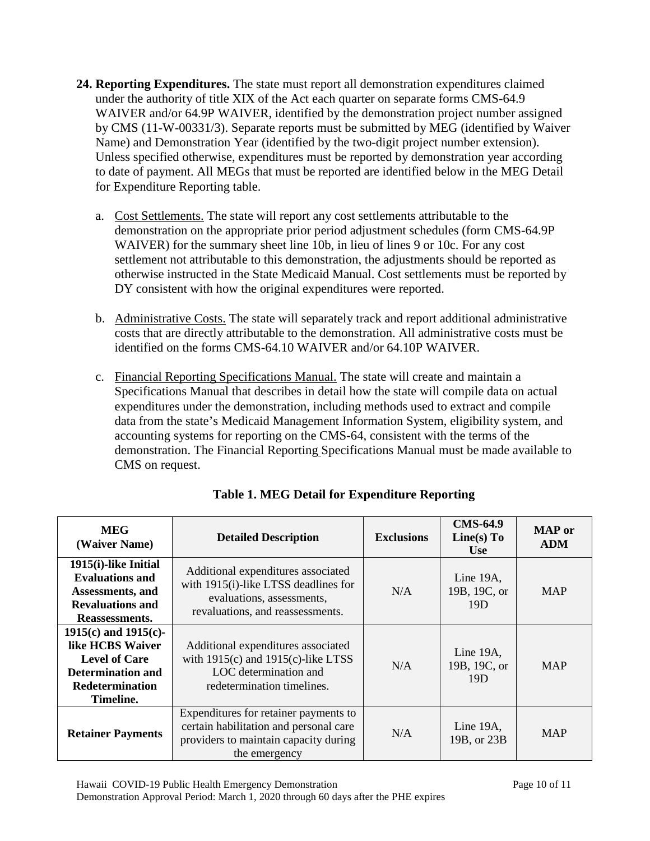- **24. Reporting Expenditures.** The state must report all demonstration expenditures claimed under the authority of title XIX of the Act each quarter on separate forms CMS-64.9 WAIVER and/or 64.9P WAIVER, identified by the demonstration project number assigned by CMS (11-W-00331/3). Separate reports must be submitted by MEG (identified by Waiver Name) and Demonstration Year (identified by the two-digit project number extension). Unless specified otherwise, expenditures must be reported by demonstration year according to date of payment. All MEGs that must be reported are identified below in the MEG Detail for Expenditure Reporting table.
	- a. Cost Settlements. The state will report any cost settlements attributable to the demonstration on the appropriate prior period adjustment schedules (form CMS-64.9P WAIVER) for the summary sheet line 10b, in lieu of lines 9 or 10c. For any cost settlement not attributable to this demonstration, the adjustments should be reported as otherwise instructed in the State Medicaid Manual. Cost settlements must be reported by DY consistent with how the original expenditures were reported.
	- b. Administrative Costs. The state will separately track and report additional administrative costs that are directly attributable to the demonstration. All administrative costs must be identified on the forms CMS-64.10 WAIVER and/or 64.10P WAIVER.
	- c. Financial Reporting Specifications Manual. The state will create and maintain a Specifications Manual that describes in detail how the state will compile data on actual expenditures under the demonstration, including methods used to extract and compile data from the state's Medicaid Management Information System, eligibility system, and accounting systems for reporting on the CMS-64, consistent with the terms of the demonstration. The Financial Reporting Specifications Manual must be made available to CMS on request.

| <b>MEG</b><br>(Waiver Name)                                                                                                       | <b>Detailed Description</b>                                                                                                                 | <b>Exclusions</b> | <b>CMS-64.9</b><br>Line(s) To<br><b>Use</b>  | <b>MAP</b> or<br><b>ADM</b> |
|-----------------------------------------------------------------------------------------------------------------------------------|---------------------------------------------------------------------------------------------------------------------------------------------|-------------------|----------------------------------------------|-----------------------------|
| 1915(i)-like Initial<br><b>Evaluations and</b><br>Assessments, and<br><b>Revaluations and</b><br>Reassessments.                   | Additional expenditures associated<br>with 1915(i)-like LTSS deadlines for<br>evaluations, assessments,<br>revaluations, and reassessments. | N/A               | Line $19A$ ,<br>19B, 19C, or<br>19D          | <b>MAP</b>                  |
| $1915(c)$ and $1915(c)$ -<br>like HCBS Waiver<br><b>Level of Care</b><br><b>Determination and</b><br>Redetermination<br>Timeline. | Additional expenditures associated<br>with $1915(c)$ and $1915(c)$ -like LTSS<br>LOC determination and<br>redetermination timelines.        | N/A               | Line 19A,<br>19B, 19C, or<br>19 <sub>D</sub> | <b>MAP</b>                  |
| <b>Retainer Payments</b>                                                                                                          | Expenditures for retainer payments to<br>certain habilitation and personal care<br>providers to maintain capacity during<br>the emergency   | N/A               | Line 19A,<br>19B, or 23B                     | <b>MAP</b>                  |

**Table 1. MEG Detail for Expenditure Reporting**